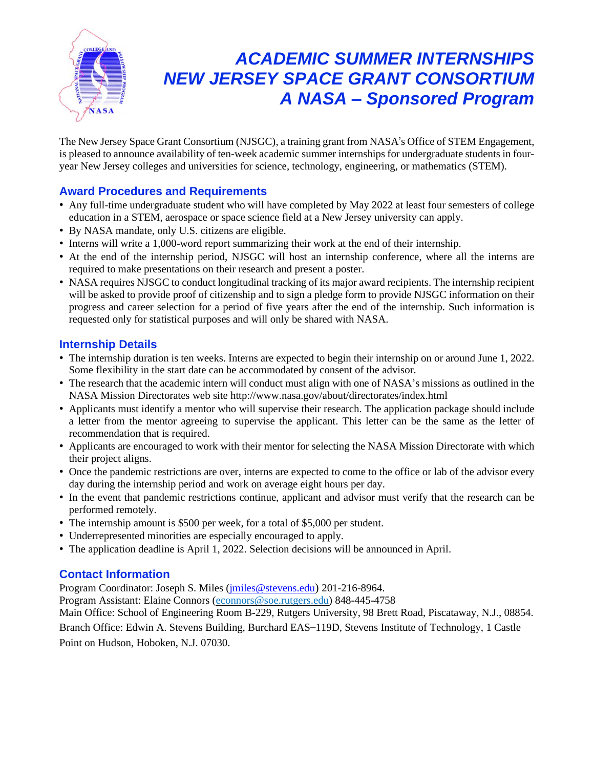

# *ACADEMIC SUMMER INTERNSHIPS NEW JERSEY SPACE GRANT CONSORTIUM A NASA – Sponsored Program*

The New Jersey Space Grant Consortium (NJSGC), a training grant from NASA's Office of STEM Engagement, is pleased to announce availability of ten-week academic summer internships for undergraduate students in fouryear New Jersey colleges and universities for science, technology, engineering, or mathematics (STEM).

# **Award Procedures and Requirements**

- Any full-time undergraduate student who will have completed by May 2022 at least four semesters of college education in a STEM, aerospace or space science field at a New Jersey university can apply.
- By NASA mandate, only U.S. citizens are eligible.
- Interns will write a 1,000-word report summarizing their work at the end of their internship.
- At the end of the internship period, NJSGC will host an internship conference, where all the interns are required to make presentations on their research and present a poster.
- NASA requires NJSGC to conduct longitudinal tracking of its major award recipients. The internship recipient will be asked to provide proof of citizenship and to sign a pledge form to provide NJSGC information on their progress and career selection for a period of five years after the end of the internship. Such information is requested only for statistical purposes and will only be shared with NASA.

# **Internship Details**

- The internship duration is ten weeks. Interns are expected to begin their internship on or around June 1, 2022. Some flexibility in the start date can be accommodated by consent of the advisor.
- The research that the academic intern will conduct must align with one of NASA's missions as outlined in the NASA Mission Directorates web site http://www.nasa.gov/about/directorates/index.html
- Applicants must identify a mentor who will supervise their research. The application package should include a letter from the mentor agreeing to supervise the applicant. This letter can be the same as the letter of recommendation that is required.
- Applicants are encouraged to work with their mentor for selecting the NASA Mission Directorate with which their project aligns.
- Once the pandemic restrictions are over, interns are expected to come to the office or lab of the advisor every day during the internship period and work on average eight hours per day.
- In the event that pandemic restrictions continue, applicant and advisor must verify that the research can be performed remotely.
- The internship amount is \$500 per week, for a total of \$5,000 per student.
- Underrepresented minorities are especially encouraged to apply.
- The application deadline is April 1, 2022. Selection decisions will be announced in April.

# **Contact Information**

Program Coordinator: Joseph S. Miles [\(jmiles@stevens.edu](mailto:jmiles@stevens.edu)) 201-216-8964.

Program Assistant: Elaine Connors [\(econnors@soe.rutgers.edu\)](mailto:econnors@soe.rutgers.edu) 848-445-4758

Main Office: School of Engineering Room B-229, Rutgers University, 98 Brett Road, Piscataway, N.J., 08854.

Branch Office: Edwin A. Stevens Building, Burchard EAS–119D, Stevens Institute of Technology, 1 Castle Point on Hudson, Hoboken, N.J. 07030.